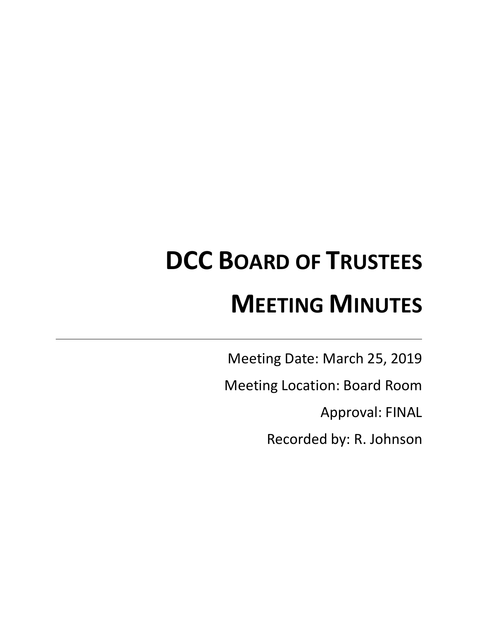# **DCC BOARD OF TRUSTEES MEETING MINUTES**

Meeting Date: March 25, 2019

Meeting Location: Board Room

Approval: FINAL

Recorded by: R. Johnson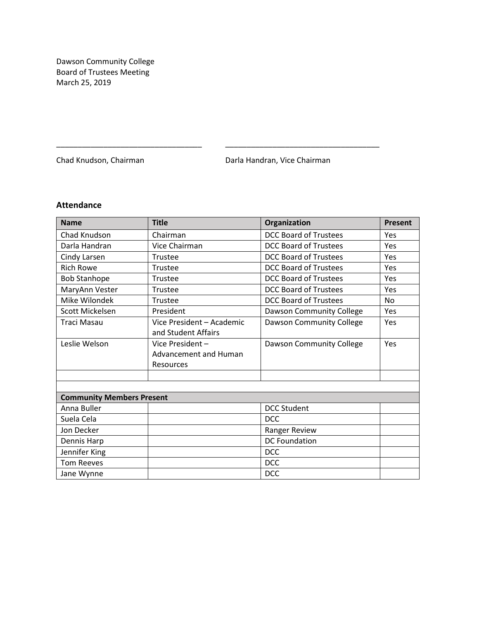Dawson Community College Board of Trustees Meeting March 25, 2019

Chad Knudson, Chairman **Darla Handran, Vice Chairman** 

# **Attendance**

| <b>Name</b>                      | <b>Title</b>                 | Organization                    | Present   |
|----------------------------------|------------------------------|---------------------------------|-----------|
| Chad Knudson                     | Chairman                     | <b>DCC Board of Trustees</b>    | Yes       |
| Darla Handran                    | Vice Chairman                | DCC Board of Trustees           | Yes       |
| Cindy Larsen                     | Trustee                      | <b>DCC Board of Trustees</b>    | Yes       |
| <b>Rich Rowe</b>                 | Trustee                      | <b>DCC Board of Trustees</b>    | Yes       |
| <b>Bob Stanhope</b>              | Trustee                      | <b>DCC Board of Trustees</b>    | Yes       |
| MaryAnn Vester                   | Trustee                      | <b>DCC Board of Trustees</b>    | Yes       |
| Mike Wilondek                    | Trustee                      | <b>DCC Board of Trustees</b>    | <b>No</b> |
| Scott Mickelsen                  | President                    | Dawson Community College        | Yes       |
| <b>Traci Masau</b>               | Vice President - Academic    | Dawson Community College        | Yes       |
|                                  | and Student Affairs          |                                 |           |
| Leslie Welson                    | Vice President-              | <b>Dawson Community College</b> | Yes       |
|                                  | <b>Advancement and Human</b> |                                 |           |
|                                  | Resources                    |                                 |           |
|                                  |                              |                                 |           |
|                                  |                              |                                 |           |
| <b>Community Members Present</b> |                              |                                 |           |
| Anna Buller                      |                              | <b>DCC Student</b>              |           |
| Suela Cela                       |                              | <b>DCC</b>                      |           |
| Jon Decker                       |                              | Ranger Review                   |           |
| Dennis Harp                      |                              | <b>DC Foundation</b>            |           |
| Jennifer King                    |                              | <b>DCC</b>                      |           |
| <b>Tom Reeves</b>                |                              | <b>DCC</b>                      |           |
| Jane Wynne                       |                              | <b>DCC</b>                      |           |

\_\_\_\_\_\_\_\_\_\_\_\_\_\_\_\_\_\_\_\_\_\_\_\_\_\_\_\_\_\_\_\_\_\_ \_\_\_\_\_\_\_\_\_\_\_\_\_\_\_\_\_\_\_\_\_\_\_\_\_\_\_\_\_\_\_\_\_\_\_\_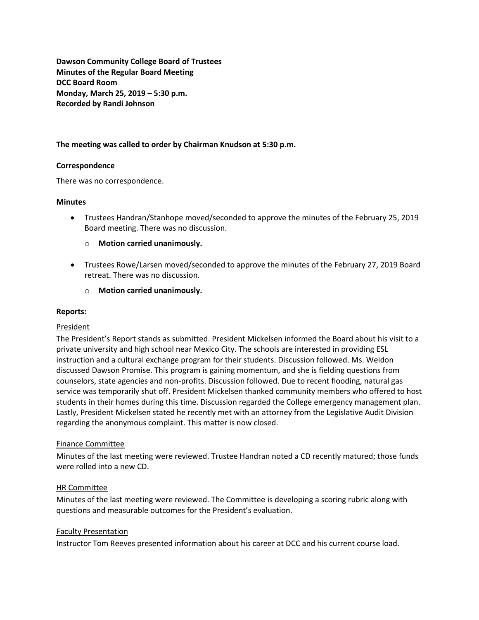**Dawson Community College Board of Trustees Minutes of the Regular Board Meeting DCC Board Room Monday, March 25, 2019 – 5:30 p.m. Recorded by Randi Johnson**

# **The meeting was called to order by Chairman Knudson at 5:30 p.m.**

## **Correspondence**

There was no correspondence.

#### **Minutes**

- Trustees Handran/Stanhope moved/seconded to approve the minutes of the February 25, 2019 Board meeting. There was no discussion.
	- o **Motion carried unanimously.**
- Trustees Rowe/Larsen moved/seconded to approve the minutes of the February 27, 2019 Board retreat. There was no discussion.
	- o **Motion carried unanimously.**

#### **Reports:**

## President

The President's Report stands as submitted. President Mickelsen informed the Board about his visit to a private university and high school near Mexico City. The schools are interested in providing ESL instruction and a cultural exchange program for their students. Discussion followed. Ms. Weldon discussed Dawson Promise. This program is gaining momentum, and she is fielding questions from counselors, state agencies and non-profits. Discussion followed. Due to recent flooding, natural gas service was temporarily shut off. President Mickelsen thanked community members who offered to host students in their homes during this time. Discussion regarded the College emergency management plan. Lastly, President Mickelsen stated he recently met with an attorney from the Legislative Audit Division regarding the anonymous complaint. This matter is now closed.

## Finance Committee

Minutes of the last meeting were reviewed. Trustee Handran noted a CD recently matured; those funds were rolled into a new CD.

## HR Committee

Minutes of the last meeting were reviewed. The Committee is developing a scoring rubric along with questions and measurable outcomes for the President's evaluation.

## Faculty Presentation

Instructor Tom Reeves presented information about his career at DCC and his current course load.